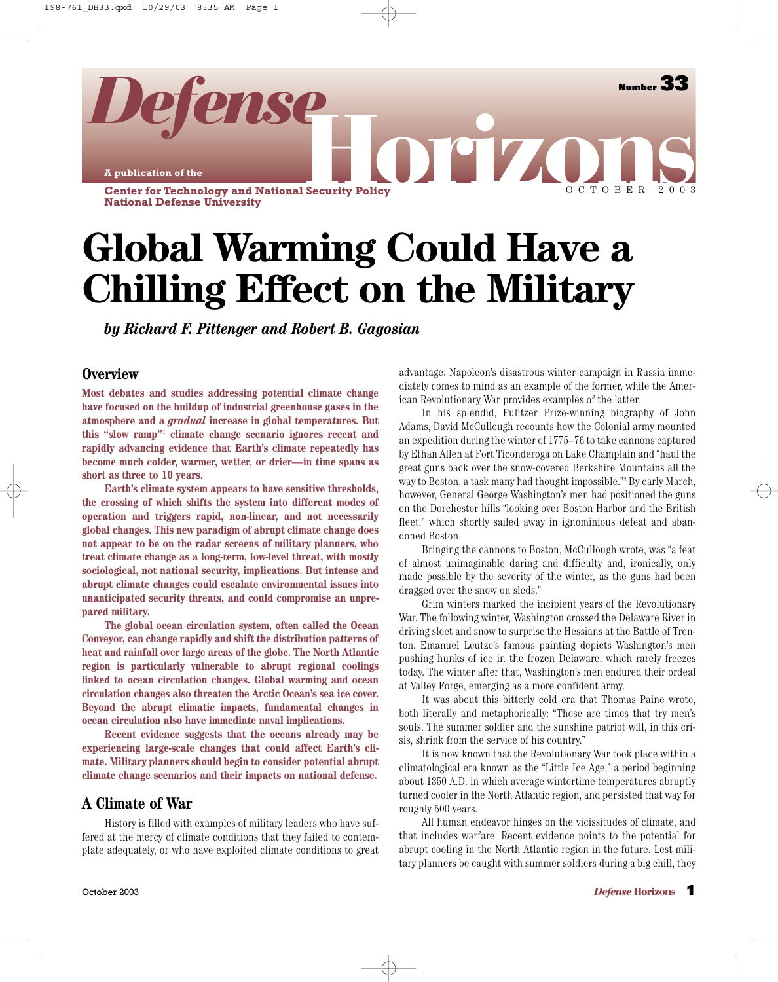**A publication of the**

*Defense*

**Center for Technology and National Security Policy National Defense University**

# **Global Warming Could Have a Chilling Effect on the Military**

*by Richard F. Pittenger and Robert B. Gagosian*

#### **Overview**

**Most debates and studies addressing potential climate change have focused on the buildup of industrial greenhouse gases in the atmosphere and a** *gradual* **increase in global temperatures. But this "slow ramp"1 climate change scenario ignores recent and rapidly advancing evidence that Earth's climate repeatedly has become much colder, warmer, wetter, or drier—in time spans as short as three to 10 years.**

**Earth's climate system appears to have sensitive thresholds, the crossing of which shifts the system into different modes of operation and triggers rapid, non-linear, and not necessarily global changes. This new paradigm of abrupt climate change does not appear to be on the radar screens of military planners, who treat climate change as a long-term, low-level threat, with mostly sociological, not national security, implications. But intense and abrupt climate changes could escalate environmental issues into unanticipated security threats, and could compromise an unprepared military.** 

**The global ocean circulation system, often called the Ocean Conveyor, can change rapidly and shift the distribution patterns of heat and rainfall over large areas of the globe. The North Atlantic region is particularly vulnerable to abrupt regional coolings linked to ocean circulation changes. Global warming and ocean circulation changes also threaten the Arctic Ocean's sea ice cover. Beyond the abrupt climatic impacts, fundamental changes in ocean circulation also have immediate naval implications.**

**Recent evidence suggests that the oceans already may be experiencing large-scale changes that could affect Earth's climate. Military planners should begin to consider potential abrupt climate change scenarios and their impacts on national defense.**

#### **A Climate of War**

History is filled with examples of military leaders who have suffered at the mercy of climate conditions that they failed to contemplate adequately, or who have exploited climate conditions to great advantage. Napoleon's disastrous winter campaign in Russia immediately comes to mind as an example of the former, while the American Revolutionary War provides examples of the latter.

**DELIZO** 

OCTOBER 2003

**Number** 

In his splendid, Pulitzer Prize-winning biography of John Adams, David McCullough recounts how the Colonial army mounted an expedition during the winter of 1775–76 to take cannons captured by Ethan Allen at Fort Ticonderoga on Lake Champlain and "haul the great guns back over the snow-covered Berkshire Mountains all the way to Boston, a task many had thought impossible."2 By early March, however, General George Washington's men had positioned the guns on the Dorchester hills "looking over Boston Harbor and the British fleet," which shortly sailed away in ignominious defeat and abandoned Boston.

Bringing the cannons to Boston, McCullough wrote, was "a feat of almost unimaginable daring and difficulty and, ironically, only made possible by the severity of the winter, as the guns had been dragged over the snow on sleds."

Grim winters marked the incipient years of the Revolutionary War. The following winter, Washington crossed the Delaware River in driving sleet and snow to surprise the Hessians at the Battle of Trenton. Emanuel Leutze's famous painting depicts Washington's men pushing hunks of ice in the frozen Delaware, which rarely freezes today. The winter after that, Washington's men endured their ordeal at Valley Forge, emerging as a more confident army.

It was about this bitterly cold era that Thomas Paine wrote, both literally and metaphorically: "These are times that try men's souls. The summer soldier and the sunshine patriot will, in this crisis, shrink from the service of his country."

It is now known that the Revolutionary War took place within a climatological era known as the "Little Ice Age," a period beginning about 1350 A.D. in which average wintertime temperatures abruptly turned cooler in the North Atlantic region, and persisted that way for roughly 500 years.

All human endeavor hinges on the vicissitudes of climate, and that includes warfare. Recent evidence points to the potential for abrupt cooling in the North Atlantic region in the future. Lest military planners be caught with summer soldiers during a big chill, they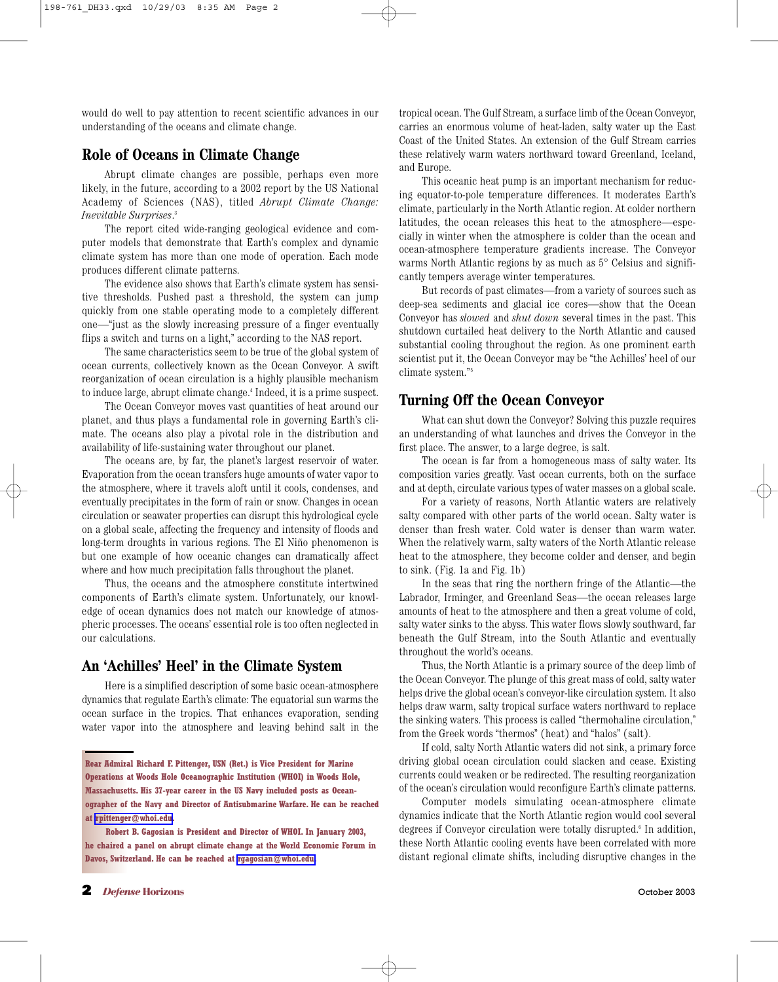would do well to pay attention to recent scientific advances in our understanding of the oceans and climate change.

#### **Role of Oceans in Climate Change**

Abrupt climate changes are possible, perhaps even more likely, in the future, according to a 2002 report by the US National Academy of Sciences (NAS), titled *Abrupt Climate Change: Inevitable Surprises*. 3

The report cited wide-ranging geological evidence and computer models that demonstrate that Earth's complex and dynamic climate system has more than one mode of operation. Each mode produces different climate patterns.

The evidence also shows that Earth's climate system has sensitive thresholds. Pushed past a threshold, the system can jump quickly from one stable operating mode to a completely different one—"just as the slowly increasing pressure of a finger eventually flips a switch and turns on a light," according to the NAS report.

The same characteristics seem to be true of the global system of ocean currents, collectively known as the Ocean Conveyor. A swift reorganization of ocean circulation is a highly plausible mechanism to induce large, abrupt climate change.4 Indeed, it is a prime suspect.

The Ocean Conveyor moves vast quantities of heat around our planet, and thus plays a fundamental role in governing Earth's climate. The oceans also play a pivotal role in the distribution and availability of life-sustaining water throughout our planet.

The oceans are, by far, the planet's largest reservoir of water. Evaporation from the ocean transfers huge amounts of water vapor to the atmosphere, where it travels aloft until it cools, condenses, and eventually precipitates in the form of rain or snow. Changes in ocean circulation or seawater properties can disrupt this hydrological cycle on a global scale, affecting the frequency and intensity of floods and long-term droughts in various regions. The El Niño phenomenon is but one example of how oceanic changes can dramatically affect where and how much precipitation falls throughout the planet.

Thus, the oceans and the atmosphere constitute intertwined components of Earth's climate system. Unfortunately, our knowledge of ocean dynamics does not match our knowledge of atmospheric processes. The oceans' essential role is too often neglected in our calculations.

#### **An 'Achilles' Heel' in the Climate System**

Here is a simplified description of some basic ocean-atmosphere dynamics that regulate Earth's climate: The equatorial sun warms the ocean surface in the tropics. That enhances evaporation, sending water vapor into the atmosphere and leaving behind salt in the tropical ocean. The Gulf Stream, a surface limb of the Ocean Conveyor, carries an enormous volume of heat-laden, salty water up the East Coast of the United States. An extension of the Gulf Stream carries these relatively warm waters northward toward Greenland, Iceland, and Europe.

This oceanic heat pump is an important mechanism for reducing equator-to-pole temperature differences. It moderates Earth's climate, particularly in the North Atlantic region. At colder northern latitudes, the ocean releases this heat to the atmosphere—especially in winter when the atmosphere is colder than the ocean and ocean-atmosphere temperature gradients increase. The Conveyor warms North Atlantic regions by as much as 5° Celsius and significantly tempers average winter temperatures.

But records of past climates—from a variety of sources such as deep-sea sediments and glacial ice cores—show that the Ocean Conveyor has *slowed* and *shut down* several times in the past. This shutdown curtailed heat delivery to the North Atlantic and caused substantial cooling throughout the region. As one prominent earth scientist put it, the Ocean Conveyor may be "the Achilles' heel of our climate system." 5

#### **Turning Off the Ocean Conveyor**

What can shut down the Conveyor? Solving this puzzle requires an understanding of what launches and drives the Conveyor in the first place. The answer, to a large degree, is salt.

The ocean is far from a homogeneous mass of salty water. Its composition varies greatly. Vast ocean currents, both on the surface and at depth, circulate various types of water masses on a global scale.

For a variety of reasons, North Atlantic waters are relatively salty compared with other parts of the world ocean. Salty water is denser than fresh water. Cold water is denser than warm water. When the relatively warm, salty waters of the North Atlantic release heat to the atmosphere, they become colder and denser, and begin to sink. (Fig. 1a and Fig. 1b)

In the seas that ring the northern fringe of the Atlantic—the Labrador, Irminger, and Greenland Seas—the ocean releases large amounts of heat to the atmosphere and then a great volume of cold, salty water sinks to the abyss. This water flows slowly southward, far beneath the Gulf Stream, into the South Atlantic and eventually throughout the world's oceans.

Thus, the North Atlantic is a primary source of the deep limb of the Ocean Conveyor. The plunge of this great mass of cold, salty water helps drive the global ocean's conveyor-like circulation system. It also helps draw warm, salty tropical surface waters northward to replace the sinking waters. This process is called "thermohaline circulation," from the Greek words "thermos" (heat) and "halos" (salt).

If cold, salty North Atlantic waters did not sink, a primary force driving global ocean circulation could slacken and cease. Existing currents could weaken or be redirected. The resulting reorganization of the ocean's circulation would reconfigure Earth's climate patterns.

Computer models simulating ocean-atmosphere climate dynamics indicate that the North Atlantic region would cool several degrees if Conveyor circulation were totally disrupted.<sup>6</sup> In addition, these North Atlantic cooling events have been correlated with more distant regional climate shifts, including disruptive changes in the

**Rear Admiral Richard F. Pittenger, USN (Ret.) is Vice President for Marine Operations at Woods Hole Oceanographic Institution (WHOI) in Woods Hole, Massachusetts. His 37-year career in the US Navy included posts as Oceanographer of the Navy and Director of Antisubmarine Warfare. He can be reached at [rpittenger@whoi.edu](mailto:rpittenger@whoi.edu).**

**Robert B. Gagosian is President and Director of WHOI. In January 2003, he chaired a panel on abrupt climate change at the World Economic Forum in Davos, Switzerland. He can be reached at [rgagosian@whoi.edu.](mailto:rgagosian@whoi.edu)**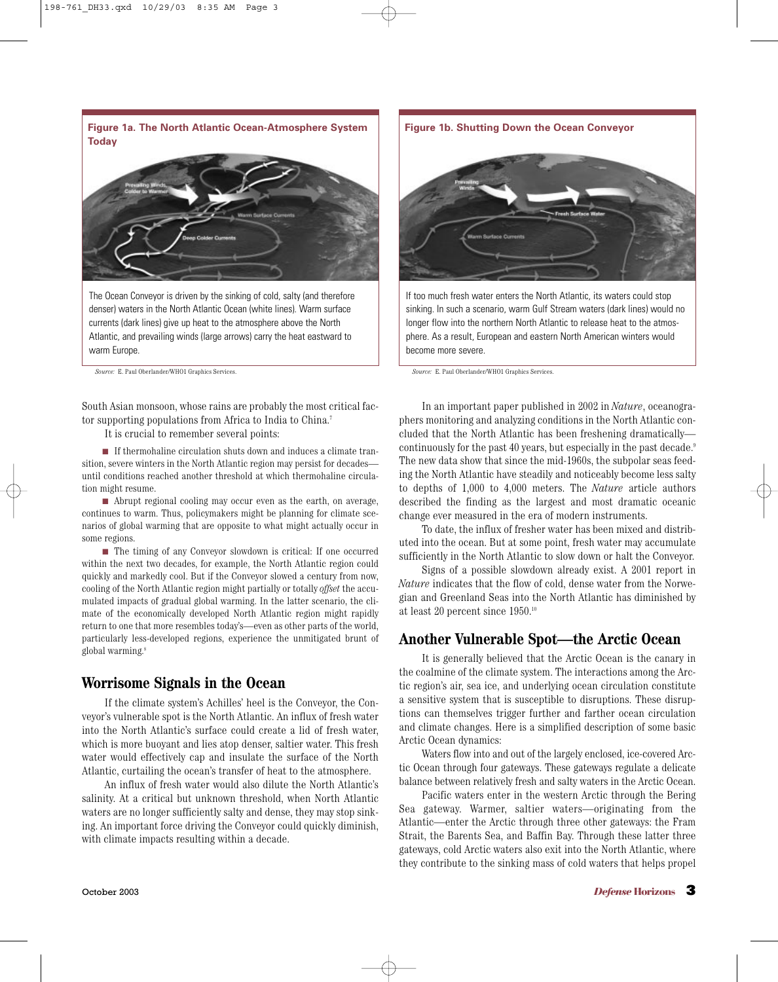**Figure 1a. The North Atlantic Ocean-Atmosphere System Today**

The Ocean Conveyor is driven by the sinking of cold, salty (and therefore denser) waters in the North Atlantic Ocean (white lines). Warm surface currents (dark lines) give up heat to the atmosphere above the North Atlantic, and prevailing winds (large arrows) carry the heat eastward to warm Europe.

*Source:* E. Paul Oberlander/WHO1 Graphics Services. *Source:* E. Paul Oberlander/WHO1 Graphics Services.

South Asian monsoon, whose rains are probably the most critical factor supporting populations from Africa to India to China.<sup>7</sup>

It is crucial to remember several points:

■ If thermohaline circulation shuts down and induces a climate transition, severe winters in the North Atlantic region may persist for decades until conditions reached another threshold at which thermohaline circulation might resume.

■ Abrupt regional cooling may occur even as the earth, on average, continues to warm. Thus, policymakers might be planning for climate scenarios of global warming that are opposite to what might actually occur in some regions.

■ The timing of any Conveyor slowdown is critical: If one occurred within the next two decades, for example, the North Atlantic region could quickly and markedly cool. But if the Conveyor slowed a century from now, cooling of the North Atlantic region might partially or totally *offset* the accumulated impacts of gradual global warming. In the latter scenario, the climate of the economically developed North Atlantic region might rapidly return to one that more resembles today's—even as other parts of the world, particularly less-developed regions, experience the unmitigated brunt of global warming.8

#### **Worrisome Signals in the Ocean**

If the climate system's Achilles' heel is the Conveyor, the Conveyor's vulnerable spot is the North Atlantic. An influx of fresh water into the North Atlantic's surface could create a lid of fresh water, which is more buoyant and lies atop denser, saltier water. This fresh water would effectively cap and insulate the surface of the North Atlantic, curtailing the ocean's transfer of heat to the atmosphere.

An influx of fresh water would also dilute the North Atlantic's salinity. At a critical but unknown threshold, when North Atlantic waters are no longer sufficiently salty and dense, they may stop sinking. An important force driving the Conveyor could quickly diminish, with climate impacts resulting within a decade.

**Figure 1b. Shutting Down the Ocean Conveyor**



If too much fresh water enters the North Atlantic, its waters could stop sinking. In such a scenario, warm Gulf Stream waters (dark lines) would no longer flow into the northern North Atlantic to release heat to the atmosphere. As a result, European and eastern North American winters would become more severe.

In an important paper published in 2002 in *Nature*, oceanographers monitoring and analyzing conditions in the North Atlantic concluded that the North Atlantic has been freshening dramatically continuously for the past 40 years, but especially in the past decade.<sup>9</sup> The new data show that since the mid-1960s, the subpolar seas feeding the North Atlantic have steadily and noticeably become less salty to depths of 1,000 to 4,000 meters. The *Nature* article authors described the finding as the largest and most dramatic oceanic change ever measured in the era of modern instruments.

To date, the influx of fresher water has been mixed and distributed into the ocean. But at some point, fresh water may accumulate sufficiently in the North Atlantic to slow down or halt the Conveyor.

Signs of a possible slowdown already exist. A 2001 report in *Nature* indicates that the flow of cold, dense water from the Norwegian and Greenland Seas into the North Atlantic has diminished by at least 20 percent since 1950.10

#### **Another Vulnerable Spot—the Arctic Ocean**

It is generally believed that the Arctic Ocean is the canary in the coalmine of the climate system. The interactions among the Arctic region's air, sea ice, and underlying ocean circulation constitute a sensitive system that is susceptible to disruptions. These disruptions can themselves trigger further and farther ocean circulation and climate changes. Here is a simplified description of some basic Arctic Ocean dynamics:

Waters flow into and out of the largely enclosed, ice-covered Arctic Ocean through four gateways. These gateways regulate a delicate balance between relatively fresh and salty waters in the Arctic Ocean.

Pacific waters enter in the western Arctic through the Bering Sea gateway. Warmer, saltier waters—originating from the Atlantic—enter the Arctic through three other gateways: the Fram Strait, the Barents Sea, and Baffin Bay. Through these latter three gateways, cold Arctic waters also exit into the North Atlantic, where they contribute to the sinking mass of cold waters that helps propel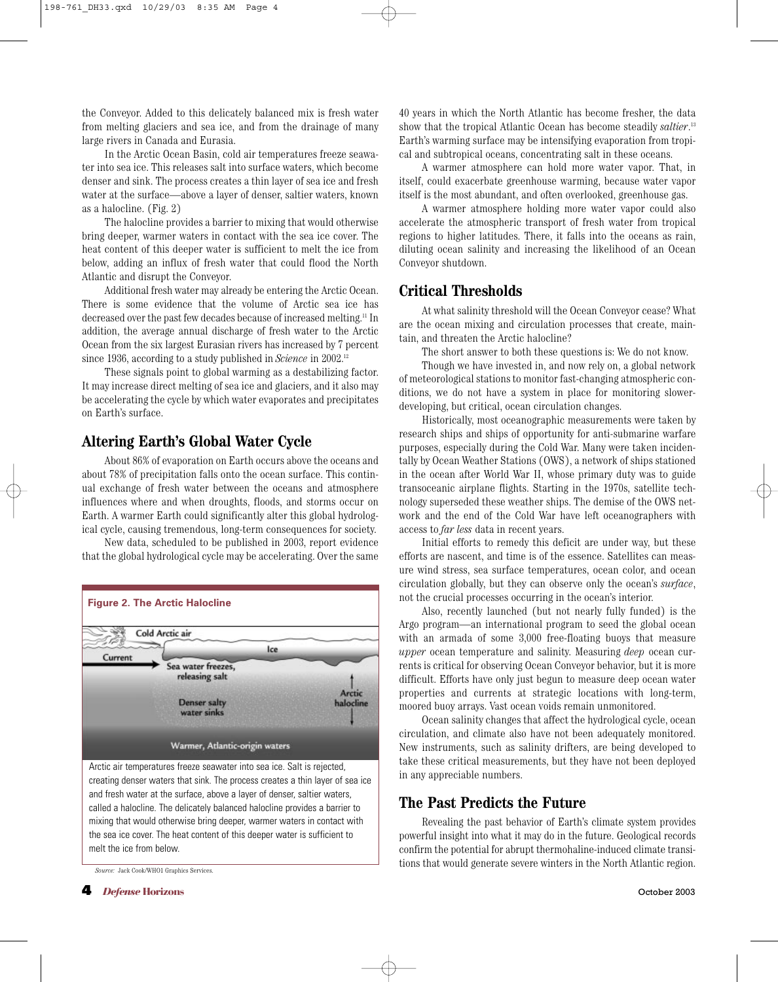the Conveyor. Added to this delicately balanced mix is fresh water from melting glaciers and sea ice, and from the drainage of many large rivers in Canada and Eurasia.

In the Arctic Ocean Basin, cold air temperatures freeze seawater into sea ice. This releases salt into surface waters, which become denser and sink. The process creates a thin layer of sea ice and fresh water at the surface—above a layer of denser, saltier waters, known as a halocline. (Fig. 2)

The halocline provides a barrier to mixing that would otherwise bring deeper, warmer waters in contact with the sea ice cover. The heat content of this deeper water is sufficient to melt the ice from below, adding an influx of fresh water that could flood the North Atlantic and disrupt the Conveyor.

Additional fresh water may already be entering the Arctic Ocean. There is some evidence that the volume of Arctic sea ice has decreased over the past few decades because of increased melting.11 In addition, the average annual discharge of fresh water to the Arctic Ocean from the six largest Eurasian rivers has increased by 7 percent since 1936, according to a study published in *Science* in 2002.12

These signals point to global warming as a destabilizing factor. It may increase direct melting of sea ice and glaciers, and it also may be accelerating the cycle by which water evaporates and precipitates on Earth's surface.

#### **Altering Earth's Global Water Cycle**

About 86% of evaporation on Earth occurs above the oceans and about 78% of precipitation falls onto the ocean surface. This continual exchange of fresh water between the oceans and atmosphere influences where and when droughts, floods, and storms occur on Earth. A warmer Earth could significantly alter this global hydrological cycle, causing tremendous, long-term consequences for society.

New data, scheduled to be published in 2003, report evidence that the global hydrological cycle may be accelerating. Over the same



creating denser waters that sink. The process creates a thin layer of sea ice and fresh water at the surface, above a layer of denser, saltier waters, called a halocline. The delicately balanced halocline provides a barrier to mixing that would otherwise bring deeper, warmer waters in contact with the sea ice cover. The heat content of this deeper water is sufficient to melt the ice from below.

*Source:* Jack Cook/WHO1 Graphics Services.

40 years in which the North Atlantic has become fresher, the data show that the tropical Atlantic Ocean has become steadily *saltier*. 13 Earth's warming surface may be intensifying evaporation from tropical and subtropical oceans, concentrating salt in these oceans.

A warmer atmosphere can hold more water vapor. That, in itself, could exacerbate greenhouse warming, because water vapor itself is the most abundant, and often overlooked, greenhouse gas.

A warmer atmosphere holding more water vapor could also accelerate the atmospheric transport of fresh water from tropical regions to higher latitudes. There, it falls into the oceans as rain, diluting ocean salinity and increasing the likelihood of an Ocean Conveyor shutdown.

#### **Critical Thresholds**

At what salinity threshold will the Ocean Conveyor cease? What are the ocean mixing and circulation processes that create, maintain, and threaten the Arctic halocline?

The short answer to both these questions is: We do not know.

Though we have invested in, and now rely on, a global network of meteorological stations to monitor fast-changing atmospheric conditions, we do not have a system in place for monitoring slowerdeveloping, but critical, ocean circulation changes.

Historically, most oceanographic measurements were taken by research ships and ships of opportunity for anti-submarine warfare purposes, especially during the Cold War. Many were taken incidentally by Ocean Weather Stations (OWS), a network of ships stationed in the ocean after World War II, whose primary duty was to guide transoceanic airplane flights. Starting in the 1970s, satellite technology superseded these weather ships. The demise of the OWS network and the end of the Cold War have left oceanographers with access to *far less* data in recent years.

Initial efforts to remedy this deficit are under way, but these efforts are nascent, and time is of the essence. Satellites can measure wind stress, sea surface temperatures, ocean color, and ocean circulation globally, but they can observe only the ocean's *surface*, not the crucial processes occurring in the ocean's interior.

Also, recently launched (but not nearly fully funded) is the Argo program—an international program to seed the global ocean with an armada of some 3,000 free-floating buoys that measure *upper* ocean temperature and salinity. Measuring *deep* ocean currents is critical for observing Ocean Conveyor behavior, but it is more difficult. Efforts have only just begun to measure deep ocean water properties and currents at strategic locations with long-term, moored buoy arrays. Vast ocean voids remain unmonitored.

Ocean salinity changes that affect the hydrological cycle, ocean circulation, and climate also have not been adequately monitored. New instruments, such as salinity drifters, are being developed to take these critical measurements, but they have not been deployed in any appreciable numbers.

#### **The Past Predicts the Future**

Revealing the past behavior of Earth's climate system provides powerful insight into what it may do in the future. Geological records confirm the potential for abrupt thermohaline-induced climate transitions that would generate severe winters in the North Atlantic region.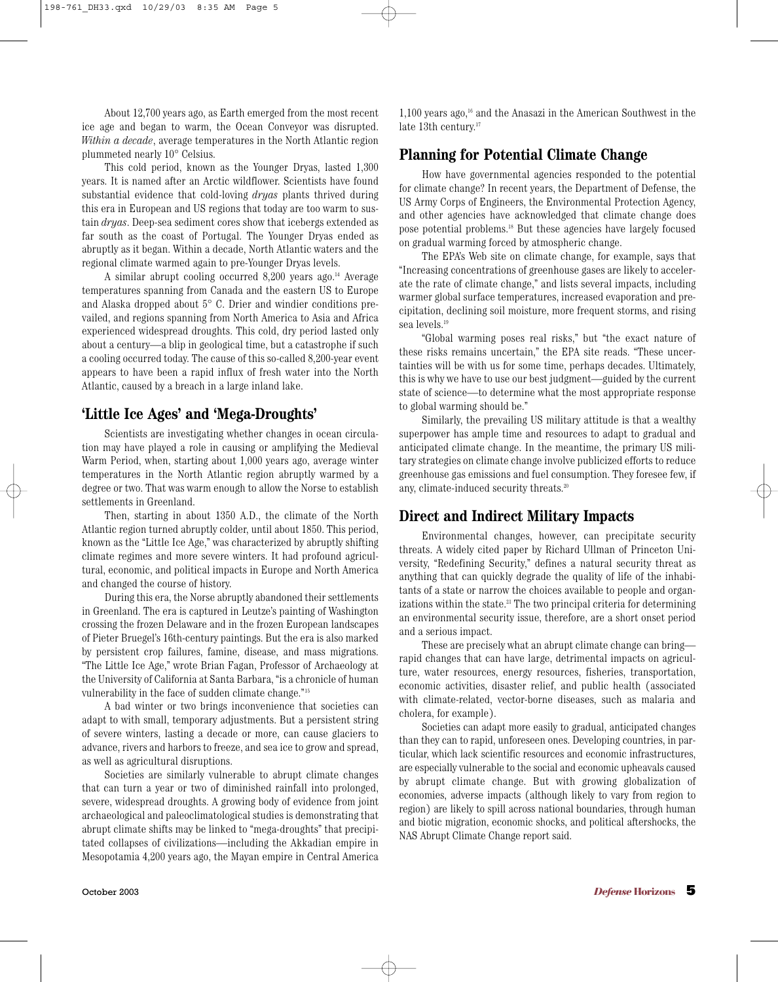About 12,700 years ago, as Earth emerged from the most recent ice age and began to warm, the Ocean Conveyor was disrupted. *Within a decade*, average temperatures in the North Atlantic region plummeted nearly 10° Celsius.

This cold period, known as the Younger Dryas, lasted 1,300 years. It is named after an Arctic wildflower. Scientists have found substantial evidence that cold-loving *dryas* plants thrived during this era in European and US regions that today are too warm to sustain *dryas*. Deep-sea sediment cores show that icebergs extended as far south as the coast of Portugal. The Younger Dryas ended as abruptly as it began. Within a decade, North Atlantic waters and the regional climate warmed again to pre-Younger Dryas levels.

A similar abrupt cooling occurred 8,200 years ago.<sup>14</sup> Average temperatures spanning from Canada and the eastern US to Europe and Alaska dropped about 5° C. Drier and windier conditions prevailed, and regions spanning from North America to Asia and Africa experienced widespread droughts. This cold, dry period lasted only about a century—a blip in geological time, but a catastrophe if such a cooling occurred today. The cause of this so-called 8,200-year event appears to have been a rapid influx of fresh water into the North Atlantic, caused by a breach in a large inland lake.

## **'Little Ice Ages' and 'Mega-Droughts'**

Scientists are investigating whether changes in ocean circulation may have played a role in causing or amplifying the Medieval Warm Period, when, starting about 1,000 years ago, average winter temperatures in the North Atlantic region abruptly warmed by a degree or two. That was warm enough to allow the Norse to establish settlements in Greenland.

Then, starting in about 1350 A.D., the climate of the North Atlantic region turned abruptly colder, until about 1850. This period, known as the "Little Ice Age," was characterized by abruptly shifting climate regimes and more severe winters. It had profound agricultural, economic, and political impacts in Europe and North America and changed the course of history.

During this era, the Norse abruptly abandoned their settlements in Greenland. The era is captured in Leutze's painting of Washington crossing the frozen Delaware and in the frozen European landscapes of Pieter Bruegel's 16th-century paintings. But the era is also marked by persistent crop failures, famine, disease, and mass migrations. "The Little Ice Age," wrote Brian Fagan, Professor of Archaeology at the University of California at Santa Barbara, "is a chronicle of human vulnerability in the face of sudden climate change." 15

A bad winter or two brings inconvenience that societies can adapt to with small, temporary adjustments. But a persistent string of severe winters, lasting a decade or more, can cause glaciers to advance, rivers and harbors to freeze, and sea ice to grow and spread, as well as agricultural disruptions.

Societies are similarly vulnerable to abrupt climate changes that can turn a year or two of diminished rainfall into prolonged, severe, widespread droughts. A growing body of evidence from joint archaeological and paleoclimatological studies is demonstrating that abrupt climate shifts may be linked to "mega-droughts" that precipitated collapses of civilizations—including the Akkadian empire in Mesopotamia 4,200 years ago, the Mayan empire in Central America  $1,100$  years ago,<sup>16</sup> and the Anasazi in the American Southwest in the late 13th century.<sup>17</sup>

### **Planning for Potential Climate Change**

How have governmental agencies responded to the potential for climate change? In recent years, the Department of Defense, the US Army Corps of Engineers, the Environmental Protection Agency, and other agencies have acknowledged that climate change does pose potential problems.18 But these agencies have largely focused on gradual warming forced by atmospheric change.

The EPA's Web site on climate change, for example, says that "Increasing concentrations of greenhouse gases are likely to accelerate the rate of climate change," and lists several impacts, including warmer global surface temperatures, increased evaporation and precipitation, declining soil moisture, more frequent storms, and rising sea levels.19

"Global warming poses real risks," but "the exact nature of these risks remains uncertain," the EPA site reads. "These uncertainties will be with us for some time, perhaps decades. Ultimately, this is why we have to use our best judgment—guided by the current state of science—to determine what the most appropriate response to global warming should be."

Similarly, the prevailing US military attitude is that a wealthy superpower has ample time and resources to adapt to gradual and anticipated climate change. In the meantime, the primary US military strategies on climate change involve publicized efforts to reduce greenhouse gas emissions and fuel consumption. They foresee few, if any, climate-induced security threats.<sup>20</sup>

#### **Direct and Indirect Military Impacts**

Environmental changes, however, can precipitate security threats. A widely cited paper by Richard Ullman of Princeton University, "Redefining Security," defines a natural security threat as anything that can quickly degrade the quality of life of the inhabitants of a state or narrow the choices available to people and organizations within the state.<sup>21</sup> The two principal criteria for determining an environmental security issue, therefore, are a short onset period and a serious impact.

These are precisely what an abrupt climate change can bring rapid changes that can have large, detrimental impacts on agriculture, water resources, energy resources, fisheries, transportation, economic activities, disaster relief, and public health (associated with climate-related, vector-borne diseases, such as malaria and cholera, for example).

Societies can adapt more easily to gradual, anticipated changes than they can to rapid, unforeseen ones. Developing countries, in particular, which lack scientific resources and economic infrastructures, are especially vulnerable to the social and economic upheavals caused by abrupt climate change. But with growing globalization of economies, adverse impacts (although likely to vary from region to region) are likely to spill across national boundaries, through human and biotic migration, economic shocks, and political aftershocks, the NAS Abrupt Climate Change report said.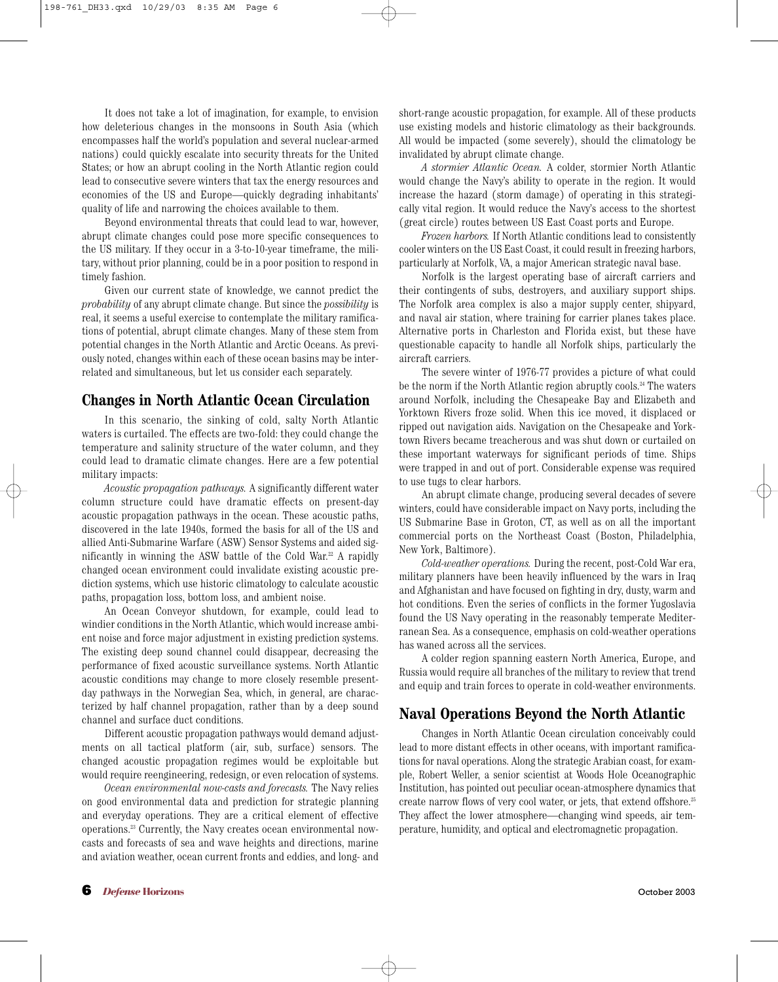It does not take a lot of imagination, for example, to envision how deleterious changes in the monsoons in South Asia (which encompasses half the world's population and several nuclear-armed nations) could quickly escalate into security threats for the United States; or how an abrupt cooling in the North Atlantic region could lead to consecutive severe winters that tax the energy resources and economies of the US and Europe—quickly degrading inhabitants' quality of life and narrowing the choices available to them.

Beyond environmental threats that could lead to war, however, abrupt climate changes could pose more specific consequences to the US military. If they occur in a 3-to-10-year timeframe, the military, without prior planning, could be in a poor position to respond in timely fashion.

Given our current state of knowledge, we cannot predict the *probability* of any abrupt climate change. But since the *possibility* is real, it seems a useful exercise to contemplate the military ramifications of potential, abrupt climate changes. Many of these stem from potential changes in the North Atlantic and Arctic Oceans. As previously noted, changes within each of these ocean basins may be interrelated and simultaneous, but let us consider each separately.

#### **Changes in North Atlantic Ocean Circulation**

In this scenario, the sinking of cold, salty North Atlantic waters is curtailed. The effects are two-fold: they could change the temperature and salinity structure of the water column, and they could lead to dramatic climate changes. Here are a few potential military impacts:

*Acoustic propagation pathways.* A significantly different water column structure could have dramatic effects on present-day acoustic propagation pathways in the ocean. These acoustic paths, discovered in the late 1940s, formed the basis for all of the US and allied Anti-Submarine Warfare (ASW) Sensor Systems and aided significantly in winning the ASW battle of the Cold War.22 A rapidly changed ocean environment could invalidate existing acoustic prediction systems, which use historic climatology to calculate acoustic paths, propagation loss, bottom loss, and ambient noise.

An Ocean Conveyor shutdown, for example, could lead to windier conditions in the North Atlantic, which would increase ambient noise and force major adjustment in existing prediction systems. The existing deep sound channel could disappear, decreasing the performance of fixed acoustic surveillance systems. North Atlantic acoustic conditions may change to more closely resemble presentday pathways in the Norwegian Sea, which, in general, are characterized by half channel propagation, rather than by a deep sound channel and surface duct conditions.

Different acoustic propagation pathways would demand adjustments on all tactical platform (air, sub, surface) sensors. The changed acoustic propagation regimes would be exploitable but would require reengineering, redesign, or even relocation of systems.

*Ocean environmental now-casts and forecasts.* The Navy relies on good environmental data and prediction for strategic planning and everyday operations. They are a critical element of effective operations.23 Currently, the Navy creates ocean environmental nowcasts and forecasts of sea and wave heights and directions, marine and aviation weather, ocean current fronts and eddies, and long- and short-range acoustic propagation, for example. All of these products use existing models and historic climatology as their backgrounds. All would be impacted (some severely), should the climatology be invalidated by abrupt climate change.

*A stormier Atlantic Ocean.* A colder, stormier North Atlantic would change the Navy's ability to operate in the region. It would increase the hazard (storm damage) of operating in this strategically vital region. It would reduce the Navy's access to the shortest (great circle) routes between US East Coast ports and Europe.

*Frozen harbors.* If North Atlantic conditions lead to consistently cooler winters on the US East Coast, it could result in freezing harbors, particularly at Norfolk, VA, a major American strategic naval base.

Norfolk is the largest operating base of aircraft carriers and their contingents of subs, destroyers, and auxiliary support ships. The Norfolk area complex is also a major supply center, shipyard, and naval air station, where training for carrier planes takes place. Alternative ports in Charleston and Florida exist, but these have questionable capacity to handle all Norfolk ships, particularly the aircraft carriers.

The severe winter of 1976-77 provides a picture of what could be the norm if the North Atlantic region abruptly cools.<sup>24</sup> The waters around Norfolk, including the Chesapeake Bay and Elizabeth and Yorktown Rivers froze solid. When this ice moved, it displaced or ripped out navigation aids. Navigation on the Chesapeake and Yorktown Rivers became treacherous and was shut down or curtailed on these important waterways for significant periods of time. Ships were trapped in and out of port. Considerable expense was required to use tugs to clear harbors.

An abrupt climate change, producing several decades of severe winters, could have considerable impact on Navy ports, including the US Submarine Base in Groton, CT, as well as on all the important commercial ports on the Northeast Coast (Boston, Philadelphia, New York, Baltimore).

*Cold-weather operations.* During the recent, post-Cold War era, military planners have been heavily influenced by the wars in Iraq and Afghanistan and have focused on fighting in dry, dusty, warm and hot conditions. Even the series of conflicts in the former Yugoslavia found the US Navy operating in the reasonably temperate Mediterranean Sea. As a consequence, emphasis on cold-weather operations has waned across all the services.

A colder region spanning eastern North America, Europe, and Russia would require all branches of the military to review that trend and equip and train forces to operate in cold-weather environments.

#### **Naval Operations Beyond the North Atlantic**

Changes in North Atlantic Ocean circulation conceivably could lead to more distant effects in other oceans, with important ramifications for naval operations. Along the strategic Arabian coast, for example, Robert Weller, a senior scientist at Woods Hole Oceanographic Institution, has pointed out peculiar ocean-atmosphere dynamics that create narrow flows of very cool water, or jets, that extend offshore.25 They affect the lower atmosphere—changing wind speeds, air temperature, humidity, and optical and electromagnetic propagation.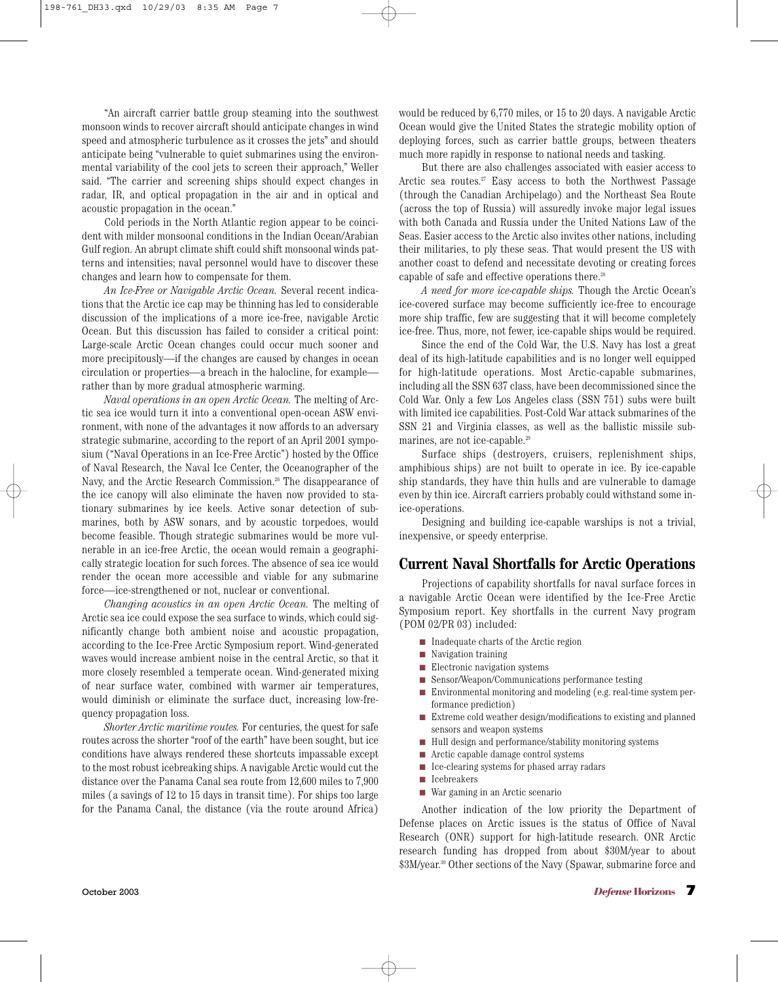"An aircraft carrier battle group steaming into the southwest monsoon winds to recover aircraft should anticipate changes in wind speed and atmospheric turbulence as it crosses the jets" and should anticipate being "vulnerable to quiet submarines using the environmental variability of the cool jets to screen their approach," Weller said. "The carrier and screening ships should expect changes in radar, IR, and optical propagation in the air and in optical and acoustic propagation in the ocean."

Cold periods in the North Atlantic region appear to be coincident with milder monsoonal conditions in the Indian Ocean/Arabian Gulf region. An abrupt climate shift could shift monsoonal winds patterns and intensities; naval personnel would have to discover these changes and learn how to compensate for them.

*An Ice-Free or Navigable Arctic Ocean.* Several recent indications that the Arctic ice cap may be thinning has led to considerable discussion of the implications of a more ice-free, navigable Arctic Ocean. But this discussion has failed to consider a critical point: Large-scale Arctic Ocean changes could occur much sooner and more precipitously—if the changes are caused by changes in ocean circulation or properties—a breach in the halocline, for example rather than by more gradual atmospheric warming.

*Naval operations in an open Arctic Ocean.* The melting of Arctic sea ice would turn it into a conventional open-ocean ASW environment, with none of the advantages it now affords to an adversary strategic submarine, according to the report of an April 2001 symposium ("Naval Operations in an Ice-Free Arctic") hosted by the Office of Naval Research, the Naval Ice Center, the Oceanographer of the Navy, and the Arctic Research Commission.<sup>26</sup> The disappearance of the ice canopy will also eliminate the haven now provided to stationary submarines by ice keels. Active sonar detection of submarines, both by ASW sonars, and by acoustic torpedoes, would become feasible. Though strategic submarines would be more vulnerable in an ice-free Arctic, the ocean would remain a geographically strategic location for such forces. The absence of sea ice would render the ocean more accessible and viable for any submarine force—ice-strengthened or not, nuclear or conventional.

*Changing acoustics in an open Arctic Ocean.* The melting of Arctic sea ice could expose the sea surface to winds, which could significantly change both ambient noise and acoustic propagation, according to the Ice-Free Arctic Symposium report. Wind-generated waves would increase ambient noise in the central Arctic, so that it more closely resembled a temperate ocean. Wind-generated mixing of near surface water, combined with warmer air temperatures, would diminish or eliminate the surface duct, increasing low-frequency propagation loss.

*Shorter Arctic maritime routes.* For centuries, the quest for safe routes across the shorter "roof of the earth" have been sought, but ice conditions have always rendered these shortcuts impassable except to the most robust icebreaking ships. A navigable Arctic would cut the distance over the Panama Canal sea route from 12,600 miles to 7,900 miles (a savings of 12 to 15 days in transit time). For ships too large for the Panama Canal, the distance (via the route around Africa) would be reduced by 6,770 miles, or 15 to 20 days. A navigable Arctic Ocean would give the United States the strategic mobility option of deploying forces, such as carrier battle groups, between theaters much more rapidly in response to national needs and tasking.

But there are also challenges associated with easier access to Arctic sea routes.<sup>27</sup> Easy access to both the Northwest Passage (through the Canadian Archipelago) and the Northeast Sea Route (across the top of Russia) will assuredly invoke major legal issues with both Canada and Russia under the United Nations Law of the Seas. Easier access to the Arctic also invites other nations, including their militaries, to ply these seas. That would present the US with another coast to defend and necessitate devoting or creating forces capable of safe and effective operations there.28

*A need for more ice-capable ships.* Though the Arctic Ocean's ice-covered surface may become sufficiently ice-free to encourage more ship traffic, few are suggesting that it will become completely ice-free. Thus, more, not fewer, ice-capable ships would be required.

Since the end of the Cold War, the U.S. Navy has lost a great deal of its high-latitude capabilities and is no longer well equipped for high-latitude operations. Most Arctic-capable submarines, including all the SSN 637 class, have been decommissioned since the Cold War. Only a few Los Angeles class (SSN 751) subs were built with limited ice capabilities. Post-Cold War attack submarines of the SSN 21 and Virginia classes, as well as the ballistic missile submarines, are not ice-capable.29

Surface ships (destroyers, cruisers, replenishment ships, amphibious ships) are not built to operate in ice. By ice-capable ship standards, they have thin hulls and are vulnerable to damage even by thin ice. Aircraft carriers probably could withstand some inice-operations.

Designing and building ice-capable warships is not a trivial, inexpensive, or speedy enterprise.

#### **Current Naval Shortfalls for Arctic Operations**

Projections of capability shortfalls for naval surface forces in a navigable Arctic Ocean were identified by the Ice-Free Arctic Symposium report. Key shortfalls in the current Navy program (POM 02/PR 03) included:

- Inadequate charts of the Arctic region
- Navigation training
- Electronic navigation systems
- Sensor/Weapon/Communications performance testing
- Environmental monitoring and modeling (e.g. real-time system performance prediction)
- Extreme cold weather design/modifications to existing and planned sensors and weapon systems
- Hull design and performance/stability monitoring systems
- Arctic capable damage control systems
- Ice-clearing systems for phased array radars
- Icebreakers
- War gaming in an Arctic scenario

Another indication of the low priority the Department of Defense places on Arctic issues is the status of Office of Naval Research (ONR) support for high-latitude research. ONR Arctic research funding has dropped from about \$30M/year to about \$3M/year.<sup>30</sup> Other sections of the Navy (Spawar, submarine force and